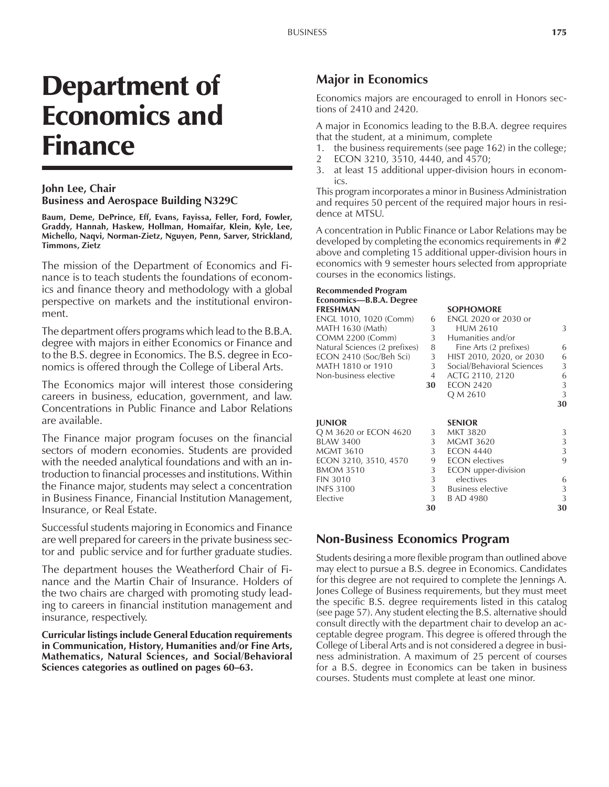# Department of Economics and Finance

## **John Lee, Chair Business and Aerospace Building N329C**

**Baum, Deme, DePrince, Eff, Evans, Fayissa, Feller, Ford, Fowler, Graddy, Hannah, Haskew, Hollman, Homaifar, Klein, Kyle, Lee, Michello, Naqvi, Norman-Zietz, Nguyen, Penn, Sarver, Strickland, Timmons, Zietz**

The mission of the Department of Economics and Finance is to teach students the foundations of economics and finance theory and methodology with a global perspective on markets and the institutional environment.

The department offers programs which lead to the B.B.A. degree with majors in either Economics or Finance and to the B.S. degree in Economics. The B.S. degree in Economics is offered through the College of Liberal Arts.

The Economics major will interest those considering careers in business, education, government, and law. Concentrations in Public Finance and Labor Relations are available.

The Finance major program focuses on the financial sectors of modern economies. Students are provided with the needed analytical foundations and with an introduction to financial processes and institutions. Within the Finance major, students may select a concentration in Business Finance, Financial Institution Management, Insurance, or Real Estate.

Successful students majoring in Economics and Finance are well prepared for careers in the private business sector and public service and for further graduate studies.

The department houses the Weatherford Chair of Finance and the Martin Chair of Insurance. Holders of the two chairs are charged with promoting study leading to careers in financial institution management and insurance, respectively.

**Curricular listings include General Education requirements in Communication, History, Humanities and/or Fine Arts, Mathematics, Natural Sciences, and Social/Behavioral Sciences categories as outlined on pages 60–63.** 

# **Major in Economics**

Economics majors are encouraged to enroll in Honors sections of 2410 and 2420.

A major in Economics leading to the B.B.A. degree requires that the student, at a minimum, complete

- 1. the business requirements (see page 162) in the college;
- 2 ECON 3210, 3510, 4440, and 4570;
- 3. at least 15 additional upper-division hours in economics.

This program incorporates a minor in Business Administration and requires 50 percent of the required major hours in residence at MTSU.

A concentration in Public Finance or Labor Relations may be developed by completing the economics requirements in  $#2$ above and completing 15 additional upper-division hours in economics with 9 semester hours selected from appropriate courses in the economics listings.

#### **Recommended Program** Economics-B.B.A. Degree **FRESHMAN SOPHOMORE**

| .                             |    |                             |    |
|-------------------------------|----|-----------------------------|----|
| ENGL 1010, 1020 (Comm)        | 6  | <b>ENGL 2020 or 2030 or</b> |    |
| MATH 1630 (Math)              | 3  | <b>HUM 2610</b>             | 3  |
| COMM 2200 (Comm)              | 3  | Humanities and/or           |    |
| Natural Sciences (2 prefixes) | 8  | Fine Arts (2 prefixes)      | 6  |
| ECON 2410 (Soc/Beh Sci)       | 3  | HIST 2010, 2020, or 2030    | 6  |
| MATH 1810 or 1910             | 3  | Social/Behavioral Sciences  | 3  |
| Non-business elective         | 4  | ACTG 2110, 2120             | 6  |
|                               | 30 | <b>ECON 2420</b>            | 3  |
|                               |    | Q M 2610                    | 3  |
|                               |    |                             | 30 |
| <b>IUNIOR</b>                 |    | <b>SENIOR</b>               |    |
| Q M 3620 or ECON 4620         | 3  | MKT 3820                    | 3  |
| <b>BLAW 3400</b>              | 3  | MGMT 3620                   | 3  |
| MGMT 3610                     | 3  | <b>ECON 4440</b>            | 3  |
| ECON 3210, 3510, 4570         | 9  | <b>ECON</b> electives       | 9  |
| <b>BMOM 3510</b>              | 3  | ECON upper-division         |    |
| <b>FIN 3010</b>               | 3  | electives                   | 6  |
|                               |    |                             |    |

INFS 3100 3 Business elective 3<br>Elective 3 B AD 4980 3 3

**30 30**

# **Non-Business Economics Program**

Elective 3 B AD 4980

Students desiring a more flexible program than outlined above may elect to pursue a B.S. degree in Economics. Candidates for this degree are not required to complete the Jennings A. Jones College of Business requirements, but they must meet the specific B.S. degree requirements listed in this catalog (see page 57). Any student electing the B.S. alternative should consult directly with the department chair to develop an acceptable degree program. This degree is offered through the College of Liberal Arts and is not considered a degree in business administration. A maximum of 25 percent of courses for a B.S. degree in Economics can be taken in business courses. Students must complete at least one minor.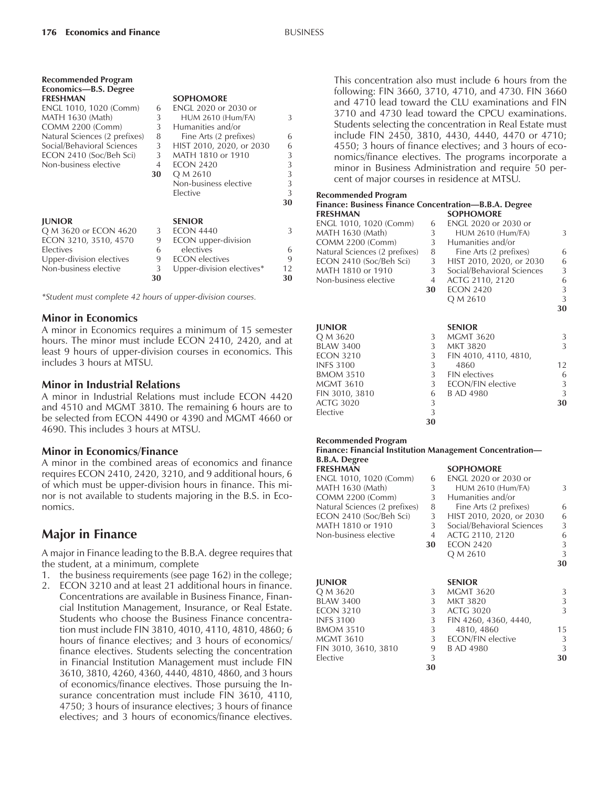**Recommended Program**

| Economics-B.S. Degree<br><b>FRESHMAN</b> |    | <b>SOPHOMORE</b>          |    |
|------------------------------------------|----|---------------------------|----|
| ENGL 1010, 1020 (Comm)                   | 6  | ENGL 2020 or 2030 or      |    |
| MATH 1630 (Math)                         | 3  | <b>HUM 2610 (Hum/FA)</b>  | 3  |
| <b>COMM 2200 (Comm)</b>                  | 3  | Humanities and/or         |    |
| Natural Sciences (2 prefixes)            | 8  | Fine Arts (2 prefixes)    | 6  |
| Social/Behavioral Sciences               | 3  | HIST 2010, 2020, or 2030  | 6  |
| ECON 2410 (Soc/Beh Sci)                  | 3  | MATH 1810 or 1910         | 3  |
| Non-business elective                    | 4  | <b>ECON 2420</b>          | 3  |
|                                          | 30 | Q M 2610                  | 3  |
|                                          |    | Non-business elective     | 3  |
|                                          |    | Elective                  | 3  |
|                                          |    |                           | 30 |
| <b>JUNIOR</b>                            |    | <b>SENIOR</b>             |    |
| Q M 3620 or ECON 4620                    | 3  | <b>ECON 4440</b>          | 3  |
| ECON 3210, 3510, 4570                    | 9  | ECON upper-division       |    |
| Electives                                | 6  | electives                 | 6  |
| Upper-division electives                 | 9  | <b>ECON</b> electives     | 9  |
| Non-business elective                    | 3  | Upper-division electives* | 12 |
|                                          | 30 |                           | 30 |

*\*Student must complete 42 hours of upper-division courses.*

## **Minor in Economics**

A minor in Economics requires a minimum of 15 semester hours. The minor must include ECON 2410, 2420, and at least 9 hours of upper-division courses in economics. This includes 3 hours at MTSU.

#### **Minor in Industrial Relations**

A minor in Industrial Relations must include ECON 4420 and 4510 and MGMT 3810. The remaining 6 hours are to be selected from ECON 4490 or 4390 and MGMT 4660 or 4690. This includes 3 hours at MTSU.

#### **Minor in Economics/Finance**

A minor in the combined areas of economics and finance requires ECON 2410, 2420, 3210, and 9 additional hours, 6 of which must be upper-division hours in finance. This minor is not available to students majoring in the B.S. in Economics.

# **Major in Finance**

A major in Finance leading to the B.B.A. degree requires that the student, at a minimum, complete

- 1. the business requirements (see page 162) in the college;
- 2. ECON 3210 and at least 21 additional hours in finance. Concentrations are available in Business Finance, Financial Institution Management, Insurance, or Real Estate. Students who choose the Business Finance concentration must include FIN 3810, 4010, 4110, 4810, 4860; 6 hours of finance electives; and 3 hours of economics/ finance electives. Students selecting the concentration in Financial Institution Management must include FIN 3610, 3810, 4260, 4360, 4440, 4810, 4860, and 3 hours of economics/finance electives. Those pursuing the Insurance concentration must include FIN 3610, 4110, 4750; 3 hours of insurance electives; 3 hours of finance electives; and 3 hours of economics/finance electives.

This concentration also must include 6 hours from the following: FIN 3660, 3710, 4710, and 4730. FIN 3660 and 4710 lead toward the CLU examinations and FIN 3710 and 4730 lead toward the CPCU examinations. Students selecting the concentration in Real Estate must include FIN 2450, 3810, 4430, 4440, 4470 or 4710; 4550; 3 hours of finance electives; and 3 hours of economics/finance electives. The programs incorporate a minor in Business Administration and require 50 percent of major courses in residence at MTSU.

#### **Recommended Program**

| Finance: Business Finance Concentration-B.B.A. Degree |                |                            |               |  |
|-------------------------------------------------------|----------------|----------------------------|---------------|--|
| <b>FRESHMAN</b>                                       |                | <b>SOPHOMORE</b>           |               |  |
| ENGL 1010, 1020 (Comm)                                | 6              | ENGL 2020 or 2030 or       |               |  |
| MATH 1630 (Math)                                      | 3              | <b>HUM 2610 (Hum/FA)</b>   | 3             |  |
| <b>COMM 2200 (Comm)</b>                               | 3              | Humanities and/or          |               |  |
| Natural Sciences (2 prefixes)                         | 8              | Fine Arts (2 prefixes)     | 6             |  |
| ECON 2410 (Soc/Beh Sci)                               | 3              | HIST 2010, 2020, or 2030   | 6             |  |
| MATH 1810 or 1910                                     | 3 <sup>7</sup> | Social/Behavioral Sciences | 3             |  |
| Non-business elective                                 | 4              | ACTG 2110, 2120            | 6             |  |
|                                                       | 30             | <b>ECON 2420</b>           | 3             |  |
|                                                       |                | Q M 2610                   | 3             |  |
|                                                       |                |                            | 30            |  |
|                                                       |                |                            |               |  |
| <b>JUNIOR</b>                                         |                | <b>SENIOR</b>              |               |  |
| Q M 3620                                              | 3              | <b>MGMT 3620</b>           | 3             |  |
| <b>BLAW 3400</b>                                      | 3              | <b>MKT 3820</b>            | $\mathcal{L}$ |  |
| <b>ECON 3210</b>                                      | 3              | FIN 4010, 4110, 4810,      |               |  |
| <b>INFS 3100</b>                                      | 3              | 4860                       | 12            |  |
| <b>BMOM 3510</b>                                      | 3              | <b>FIN</b> electives       | 6             |  |
| <b>MGMT 3610</b>                                      | 3              | ECON/FIN elective          | 3             |  |
| FIN 3010, 3810                                        | 6              | B AD 4980                  | 3             |  |
| <b>ACTG 3020</b>                                      | 3              |                            | 30            |  |
| Elective                                              | 3              |                            |               |  |
|                                                       | 30             |                            |               |  |

#### **Recommended Program**

#### **Finance: Financial Institution Management Concentrationó B.B.A. Degree**

| -------------                 |    |                             |    |
|-------------------------------|----|-----------------------------|----|
| <b>FRESHMAN</b>               |    | <b>SOPHOMORE</b>            |    |
| ENGL 1010, 1020 (Comm)        | 6  | <b>ENGL 2020 or 2030 or</b> |    |
| MATH 1630 (Math)              | 3  | <b>HUM 2610 (Hum/FA)</b>    | 3  |
| COMM 2200 (Comm)              | 3  | Humanities and/or           |    |
| Natural Sciences (2 prefixes) | 8  | Fine Arts (2 prefixes)      | 6  |
| ECON 2410 (Soc/Beh Sci)       | 3  | HIST 2010, 2020, or 2030    | 6  |
| MATH 1810 or 1910             | 3  | Social/Behavioral Sciences  | 3  |
| Non-business elective         | 4  | ACTG 2110, 2120             | 6  |
|                               | 30 | <b>ECON 2420</b>            | 3  |
|                               |    | Q M 2610                    | 3  |
|                               |    |                             | 30 |
| <b>JUNIOR</b>                 |    | <b>SENIOR</b>               |    |
| Q M 3620                      | 3  | <b>MGMT 3620</b>            | 3  |
| <b>BLAW 3400</b>              | 3  | <b>MKT 3820</b>             | 3  |
| <b>ECON 3210</b>              | 3  | <b>ACTG 3020</b>            | 3  |
| <b>INFS 3100</b>              | 3  | FIN 4260, 4360, 4440,       |    |
| <b>BMOM 3510</b>              | 3  | 4810, 4860                  | 15 |
| MGMT 3610                     | 3  | ECON/FIN elective           | 3  |
| FIN 3010, 3610, 3810          | 9  | B AD 4980                   | 3  |
| Elective                      | 3  |                             | 30 |
|                               |    |                             |    |

**30**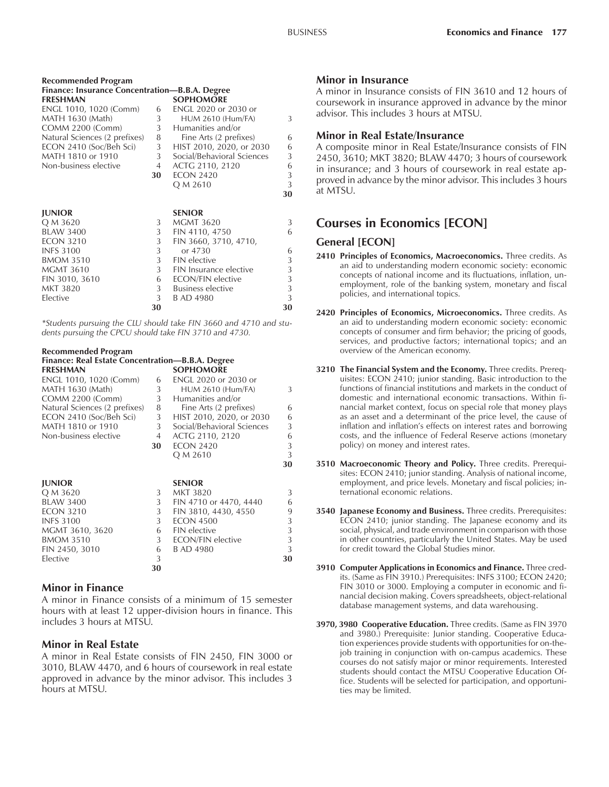| <b>Recommended Program</b>                     |    |                            |    |
|------------------------------------------------|----|----------------------------|----|
| Finance: Insurance Concentration—B.B.A. Degree |    |                            |    |
| <b>FRESHMAN</b>                                |    | <b>SOPHOMORE</b>           |    |
| ENGL 1010, 1020 (Comm)                         | 6  | ENGL 2020 or 2030 or       |    |
| MATH 1630 (Math)                               | 3  | <b>HUM 2610 (Hum/FA)</b>   | 3  |
| <b>COMM 2200 (Comm)</b>                        | 3  | Humanities and/or          |    |
| Natural Sciences (2 prefixes)                  | 8  | Fine Arts (2 prefixes)     | 6  |
| ECON 2410 (Soc/Beh Sci)                        | 3  | HIST 2010, 2020, or 2030   | 6  |
| MATH 1810 or 1910                              | 3  | Social/Behavioral Sciences | 3  |
| Non-business elective                          | 4  | ACTG 2110, 2120            | 6  |
|                                                | 30 | <b>ECON 2420</b>           | 3  |
|                                                |    | Q M 2610                   | 3  |
|                                                |    |                            | 30 |
| <b>JUNIOR</b>                                  |    | <b>SENIOR</b>              |    |
| Q M 3620                                       | 3  | <b>MGMT 3620</b>           | 3  |
| <b>BLAW 3400</b>                               | 3  | FIN 4110, 4750             | 6  |
| <b>ECON 3210</b>                               | 3  | FIN 3660, 3710, 4710,      |    |
| <b>INFS 3100</b>                               | 3  | or 4730                    | 6  |
| <b>BMOM 3510</b>                               | 3  | <b>FIN</b> elective        | 3  |
| <b>MGMT 3610</b>                               | 3  | FIN Insurance elective     | 3  |
| FIN 3010, 3610                                 | 6  | ECON/FIN elective          | 3  |
| <b>MKT 3820</b>                                | 3  | Business elective          | 3  |
| Elective                                       | 3  | <b>B AD 4980</b>           | 3  |
|                                                | 30 |                            | 30 |

*\*Students pursuing the CLU should take FIN 3660 and 4710 and students pursuing the CPCU should take FIN 3710 and 4730.*

#### **Recommended Program Finance: Real Estate Concentration—B.B.A. Degree**<br>**ERESHMAN FRESHMAN SOPHOMORE**

| ENGL 1010, 1020 (Comm)        | 6  | ENGL 2020 or 2030 or       |    |
|-------------------------------|----|----------------------------|----|
| MATH 1630 (Math)              | 3  | <b>HUM 2610 (Hum/FA)</b>   | 3  |
| COMM 2200 (Comm)              | 3  | Humanities and/or          |    |
| Natural Sciences (2 prefixes) | 8  | Fine Arts (2 prefixes)     | 6  |
| ECON 2410 (Soc/Beh Sci)       | 3  | HIST 2010, 2020, or 2030   | 6  |
| MATH 1810 or 1910             | 3  | Social/Behavioral Sciences | 3  |
| Non-business elective         | 4  | ACTG 2110, 2120            | 6  |
|                               | 30 | <b>ECON 2420</b>           | 3  |
|                               |    | Q M 2610                   | 3  |
|                               |    |                            | 30 |
| <b>JUNIOR</b>                 |    | <b>SENIOR</b>              |    |
| Q M 3620                      | 3  | <b>MKT 3820</b>            | 3  |
| <b>BLAW 3400</b>              | 3  | FIN 4710 or 4470, 4440     | 6  |
| <b>ECON 3210</b>              | 3  | FIN 3810, 4430, 4550       | 9  |
| <b>INFS 3100</b>              | 3  | <b>ECON 4500</b>           | 3  |
| MGMT 3610, 3620               | 6  | <b>FIN</b> elective        | 3  |
| <b>BMOM 3510</b>              | 3  | <b>ECON/FIN elective</b>   | 3  |
| FIN 2450, 3010                | 6  | B AD 4980                  | 3  |
| Elective                      | 3  |                            | 30 |
|                               | 30 |                            |    |
|                               |    |                            |    |

#### **Minor in Finance**

A minor in Finance consists of a minimum of 15 semester hours with at least 12 upper-division hours in finance. This includes 3 hours at MTSU.

## **Minor in Real Estate**

A minor in Real Estate consists of FIN 2450, FIN 3000 or 3010, BLAW 4470, and 6 hours of coursework in real estate approved in advance by the minor advisor. This includes 3 hours at MTSU.

## **Minor in Insurance**

A minor in Insurance consists of FIN 3610 and 12 hours of coursework in insurance approved in advance by the minor advisor. This includes 3 hours at MTSU.

## **Minor in Real Estate/Insurance**

A composite minor in Real Estate/Insurance consists of FIN 2450, 3610; MKT 3820; BLAW 4470; 3 hours of coursework in insurance; and 3 hours of coursework in real estate approved in advance by the minor advisor. This includes 3 hours at MTSU.

# **Courses in Economics [ECON]**

## **General [ECON]**

- **2410 Principles of Economics, Macroeconomics.** Three credits. As an aid to understanding modern economic society: economic concepts of national income and its fluctuations, inflation, unemployment, role of the banking system, monetary and fiscal policies, and international topics.
- **2420 Principles of Economics, Microeconomics.** Three credits. As an aid to understanding modern economic society: economic concepts of consumer and firm behavior; the pricing of goods, services, and productive factors; international topics; and an overview of the American economy.
- **3210 The Financial System and the Economy.** Three credits. Prerequisites: ECON 2410; junior standing. Basic introduction to the functions of financial institutions and markets in the conduct of domestic and international economic transactions. Within financial market context, focus on special role that money plays as an asset and a determinant of the price level, the cause of inflation and inflation's effects on interest rates and borrowing costs, and the influence of Federal Reserve actions (monetary policy) on money and interest rates.
- **3510 Macroeconomic Theory and Policy.** Three credits. Prerequisites: ECON 2410; junior standing. Analysis of national income, employment, and price levels. Monetary and fiscal policies; international economic relations.
- **3540 Japanese Economy and Business.** Three credits. Prerequisites: ECON 2410; junior standing. The Japanese economy and its social, physical, and trade environment in comparison with those in other countries, particularly the United States. May be used for credit toward the Global Studies minor.
- **3910 Computer Applications in Economics and Finance.** Three credits. (Same as FIN 3910.) Prerequisites: INFS 3100; ECON 2420; FIN 3010 or 3000. Employing a computer in economic and financial decision making. Covers spreadsheets, object-relational database management systems, and data warehousing.
- **3970, 3980 Cooperative Education.** Three credits. (Same as FIN 3970 and 3980.) Prerequisite: Junior standing. Cooperative Education experiences provide students with opportunities for on-thejob training in conjunction with on-campus academics. These courses do not satisfy major or minor requirements. Interested students should contact the MTSU Cooperative Education Office. Students will be selected for participation, and opportunities may be limited.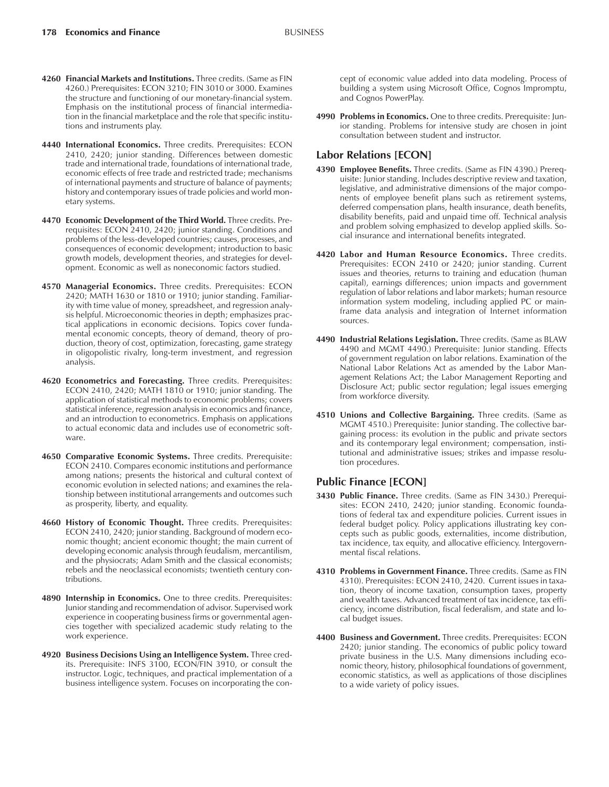- **4260 Financial Markets and Institutions.** Three credits. (Same as FIN 4260.) Prerequisites: ECON 3210; FIN 3010 or 3000. Examines the structure and functioning of our monetary-financial system. Emphasis on the institutional process of financial intermediation in the financial marketplace and the role that specific institutions and instruments play.
- **4440 International Economics.** Three credits. Prerequisites: ECON 2410, 2420; junior standing. Differences between domestic trade and international trade, foundations of international trade, economic effects of free trade and restricted trade; mechanisms of international payments and structure of balance of payments; history and contemporary issues of trade policies and world monetary systems.
- **4470 Economic Development of the Third World.** Three credits. Prerequisites: ECON 2410, 2420; junior standing. Conditions and problems of the less-developed countries; causes, processes, and consequences of economic development; introduction to basic growth models, development theories, and strategies for development. Economic as well as noneconomic factors studied.
- **4570 Managerial Economics.** Three credits. Prerequisites: ECON 2420; MATH 1630 or 1810 or 1910; junior standing. Familiarity with time value of money, spreadsheet, and regression analysis helpful. Microeconomic theories in depth; emphasizes practical applications in economic decisions. Topics cover fundamental economic concepts, theory of demand, theory of production, theory of cost, optimization, forecasting, game strategy in oligopolistic rivalry, long-term investment, and regression analysis.
- **4620 Econometrics and Forecasting.** Three credits. Prerequisites: ECON 2410, 2420; MATH 1810 or 1910; junior standing. The application of statistical methods to economic problems; covers statistical inference, regression analysis in economics and finance, and an introduction to econometrics. Emphasis on applications to actual economic data and includes use of econometric software.
- **4650 Comparative Economic Systems.** Three credits. Prerequisite: ECON 2410. Compares economic institutions and performance among nations; presents the historical and cultural context of economic evolution in selected nations; and examines the relationship between institutional arrangements and outcomes such as prosperity, liberty, and equality.
- **4660 History of Economic Thought.** Three credits. Prerequisites: ECON 2410, 2420; junior standing. Background of modern economic thought; ancient economic thought; the main current of developing economic analysis through feudalism, mercantilism, and the physiocrats; Adam Smith and the classical economists; rebels and the neoclassical economists; twentieth century contributions.
- **4890 Internship in Economics.** One to three credits. Prerequisites: Junior standing and recommendation of advisor. Supervised work experience in cooperating business firms or governmental agencies together with specialized academic study relating to the work experience.
- **4920 Business Decisions Using an Intelligence System.** Three credits. Prerequisite: INFS 3100, ECON/FIN 3910, or consult the instructor. Logic, techniques, and practical implementation of a business intelligence system. Focuses on incorporating the con-

cept of economic value added into data modeling. Process of building a system using Microsoft Office, Cognos Impromptu, and Cognos PowerPlay.

**4990 Problems in Economics.** One to three credits. Prerequisite: Junior standing. Problems for intensive study are chosen in joint consultation between student and instructor.

#### **Labor Relations [ECON]**

- **4390 Employee Benefits.** Three credits. (Same as FIN 4390.) Prerequisite: Junior standing. Includes descriptive review and taxation, legislative, and administrative dimensions of the major components of employee benefit plans such as retirement systems, deferred compensation plans, health insurance, death benefits, disability benefits, paid and unpaid time off. Technical analysis and problem solving emphasized to develop applied skills. Social insurance and international benefits integrated.
- **4420 Labor and Human Resource Economics.** Three credits. Prerequisites: ECON 2410 or 2420; junior standing. Current issues and theories, returns to training and education (human capital), earnings differences; union impacts and government regulation of labor relations and labor markets; human resource information system modeling, including applied PC or mainframe data analysis and integration of Internet information sources.
- **4490 Industrial Relations Legislation.** Three credits. (Same as BLAW 4490 and MGMT 4490.) Prerequisite: Junior standing. Effects of government regulation on labor relations. Examination of the National Labor Relations Act as amended by the Labor Management Relations Act; the Labor Management Reporting and Disclosure Act; public sector regulation; legal issues emerging from workforce diversity.
- **4510 Unions and Collective Bargaining.** Three credits. (Same as MGMT 4510.) Prerequisite: Junior standing. The collective bargaining process: its evolution in the public and private sectors and its contemporary legal environment; compensation, institutional and administrative issues; strikes and impasse resolution procedures.

## **Public Finance [ECON]**

- **3430 Public Finance.** Three credits. (Same as FIN 3430.) Prerequisites: ECON 2410, 2420; junior standing. Economic foundations of federal tax and expenditure policies. Current issues in federal budget policy. Policy applications illustrating key concepts such as public goods, externalities, income distribution, tax incidence, tax equity, and allocative efficiency. Intergovernmental fiscal relations.
- **4310 Problems in Government Finance.** Three credits. (Same as FIN 4310). Prerequisites: ECON 2410, 2420. Current issues in taxation, theory of income taxation, consumption taxes, property and wealth taxes. Advanced treatment of tax incidence, tax efficiency, income distribution, fiscal federalism, and state and local budget issues.
- **4400 Business and Government.** Three credits. Prerequisites: ECON 2420; junior standing. The economics of public policy toward private business in the U.S. Many dimensions including economic theory, history, philosophical foundations of government, economic statistics, as well as applications of those disciplines to a wide variety of policy issues.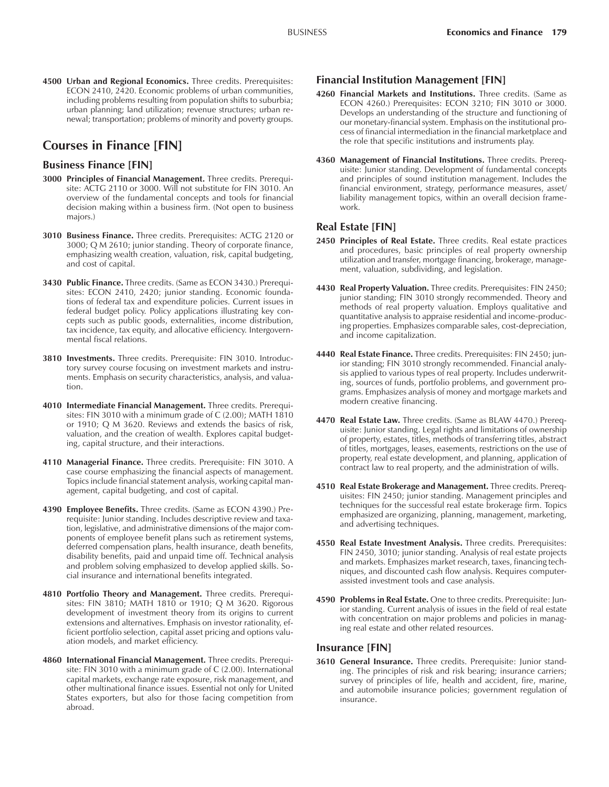**4500 Urban and Regional Economics.** Three credits. Prerequisites: ECON 2410, 2420. Economic problems of urban communities, including problems resulting from population shifts to suburbia; urban planning; land utilization; revenue structures; urban renewal; transportation; problems of minority and poverty groups.

## **Courses in Finance [FIN]**

#### **Business Finance [FIN]**

- **3000 Principles of Financial Management.** Three credits. Prerequisite: ACTG 2110 or 3000. Will not substitute for FIN 3010. An overview of the fundamental concepts and tools for financial decision making within a business firm. (Not open to business majors.)
- **3010 Business Finance.** Three credits. Prerequisites: ACTG 2120 or 3000; Q M 2610; junior standing. Theory of corporate finance, emphasizing wealth creation, valuation, risk, capital budgeting, and cost of capital.
- **3430 Public Finance.** Three credits. (Same as ECON 3430.) Prerequisites: ECON 2410, 2420; junior standing. Economic foundations of federal tax and expenditure policies. Current issues in federal budget policy. Policy applications illustrating key concepts such as public goods, externalities, income distribution, tax incidence, tax equity, and allocative efficiency. Intergovernmental fiscal relations.
- **3810 Investments.** Three credits. Prerequisite: FIN 3010. Introductory survey course focusing on investment markets and instruments. Emphasis on security characteristics, analysis, and valuation.
- **4010 Intermediate Financial Management.** Three credits. Prerequisites: FIN 3010 with a minimum grade of C (2.00); MATH 1810 or 1910; Q M 3620. Reviews and extends the basics of risk, valuation, and the creation of wealth. Explores capital budgeting, capital structure, and their interactions.
- **4110 Managerial Finance.** Three credits. Prerequisite: FIN 3010. A case course emphasizing the financial aspects of management. Topics include financial statement analysis, working capital management, capital budgeting, and cost of capital.
- **4390 Employee Benefits.** Three credits. (Same as ECON 4390.) Prerequisite: Junior standing. Includes descriptive review and taxation, legislative, and administrative dimensions of the major components of employee benefit plans such as retirement systems, deferred compensation plans, health insurance, death benefits, disability benefits, paid and unpaid time off. Technical analysis and problem solving emphasized to develop applied skills. Social insurance and international benefits integrated.
- **4810 Portfolio Theory and Management.** Three credits. Prerequisites: FIN 3810; MATH 1810 or 1910; Q M 3620. Rigorous development of investment theory from its origins to current extensions and alternatives. Emphasis on investor rationality, efficient portfolio selection, capital asset pricing and options valuation models, and market efficiency.
- **4860 International Financial Management.** Three credits. Prerequisite: FIN 3010 with a minimum grade of C (2.00). International capital markets, exchange rate exposure, risk management, and other multinational finance issues. Essential not only for United States exporters, but also for those facing competition from abroad.

#### **Financial Institution Management [FIN]**

- **4260 Financial Markets and Institutions.** Three credits. (Same as ECON 4260.) Prerequisites: ECON 3210; FIN 3010 or 3000. Develops an understanding of the structure and functioning of our monetary-financial system. Emphasis on the institutional process of financial intermediation in the financial marketplace and the role that specific institutions and instruments play.
- **4360 Management of Financial Institutions.** Three credits. Prerequisite: Junior standing. Development of fundamental concepts and principles of sound institution management. Includes the financial environment, strategy, performance measures, asset/ liability management topics, within an overall decision framework.

## **Real Estate [FIN]**

- **2450 Principles of Real Estate.** Three credits. Real estate practices and procedures, basic principles of real property ownership utilization and transfer, mortgage financing, brokerage, management, valuation, subdividing, and legislation.
- **4430 Real Property Valuation.** Three credits. Prerequisites: FIN 2450; junior standing; FIN 3010 strongly recommended. Theory and methods of real property valuation. Employs qualitative and quantitative analysis to appraise residential and income-producing properties. Emphasizes comparable sales, cost-depreciation, and income capitalization.
- **4440 Real Estate Finance.** Three credits. Prerequisites: FIN 2450; junior standing; FIN 3010 strongly recommended. Financial analysis applied to various types of real property. Includes underwriting, sources of funds, portfolio problems, and government programs. Emphasizes analysis of money and mortgage markets and modern creative financing.
- **4470 Real Estate Law.** Three credits. (Same as BLAW 4470.) Prerequisite: Junior standing. Legal rights and limitations of ownership of property, estates, titles, methods of transferring titles, abstract of titles, mortgages, leases, easements, restrictions on the use of property, real estate development, and planning, application of contract law to real property, and the administration of wills.
- **4510 Real Estate Brokerage and Management.** Three credits. Prerequisites: FIN 2450; junior standing. Management principles and techniques for the successful real estate brokerage firm. Topics emphasized are organizing, planning, management, marketing, and advertising techniques.
- **4550 Real Estate Investment Analysis.** Three credits. Prerequisites: FIN 2450, 3010; junior standing. Analysis of real estate projects and markets. Emphasizes market research, taxes, financing techniques, and discounted cash flow analysis. Requires computerassisted investment tools and case analysis.
- **4590 Problems in Real Estate.** One to three credits. Prerequisite: Junior standing. Current analysis of issues in the field of real estate with concentration on major problems and policies in managing real estate and other related resources.

#### **Insurance [FIN]**

**3610 General Insurance.** Three credits. Prerequisite: Junior standing. The principles of risk and risk bearing; insurance carriers; survey of principles of life, health and accident, fire, marine, and automobile insurance policies; government regulation of insurance.